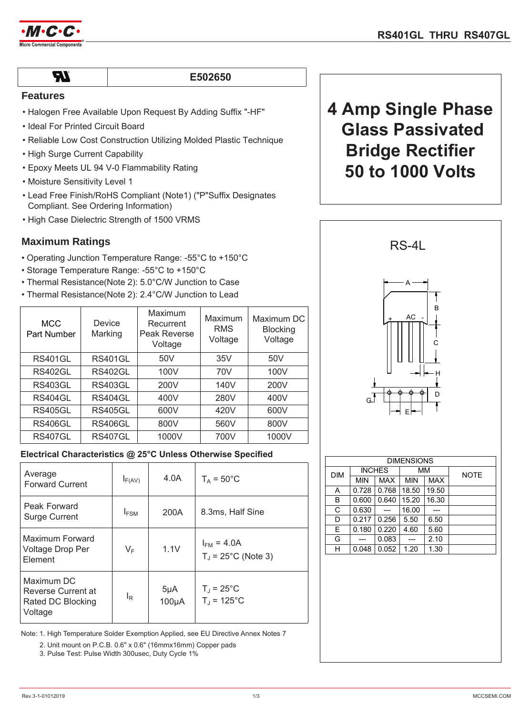

 $\boldsymbol{\mathcal{H}}$ 

## **&502650**

## **Features**

- Halogen Free Available Upon Request By Adding Suffix "-HF"
- Ideal For Printed Circuit Board
- Reliable Low Cost Construction Utilizing Molded Plastic Technique
- High Surge Current Capability
- Epoxy Meets UL 94 V-0 Flammability Rating
- Moisture Sensitivity Level 1
- Lead Free Finish/RoHS Compliant (Note1) ("P"Suffix Designates Compliant. See Ordering Information)
- High Case Dielectric Strength of 1500 VRMS

## **Maximum Ratings**

- Operating Junction Temperature Range: -55°C to +150°C
- Storage Temperature Range: -55°C to +150°C
- Thermal Resistance(Note 2): 5.0°C/W Junction to Case
- Thermal Resistance(Note 2): 2.4°C/W Junction to Lead

| <b>MCC</b><br>Part Number | Device<br>Marking | Maximum<br>Recurrent<br>Peak Reverse<br>Voltage | Maximum<br><b>RMS</b><br>Voltage | Maximum DC<br><b>Blocking</b><br>Voltage |
|---------------------------|-------------------|-------------------------------------------------|----------------------------------|------------------------------------------|
| <b>RS401GL</b>            | <b>RS401GL</b>    | 50V                                             | 35V                              | 50V                                      |
| <b>RS402GL</b>            | <b>RS402GL</b>    | 100V                                            | 70V                              | 100V                                     |
| <b>RS403GL</b>            | <b>RS403GL</b>    | 200V                                            | 140V                             | 200V                                     |
| RS404GL                   | <b>RS404GL</b>    | 400V                                            | 280V                             | 400V                                     |
| <b>RS405GL</b>            | <b>RS405GL</b>    | 600V                                            | 420V                             | 600V                                     |
| <b>RS406GL</b>            | RS406GL           | 800V                                            | 560V                             | 800V                                     |
| <b>RS407GL</b>            | <b>RS407GL</b>    | 1000V                                           | 700V                             | 1000V                                    |

## **Electrical Characteristics @ 25°C Unless Otherwise Specified**

| Average<br><b>Forward Current</b>                                | $I_{F(AV)}$    | 4.0A                   | $T_A = 50^{\circ}$ C                              |  |
|------------------------------------------------------------------|----------------|------------------------|---------------------------------------------------|--|
| Peak Forward<br><b>Surge Current</b>                             | $I_{FSM}$      | 200A                   | 8.3ms, Half Sine                                  |  |
| Maximum Forward<br>Voltage Drop Per<br>Element                   | $V_F$          | 1.1V                   | $I_{FM}$ = 4.0A<br>$T_{\text{J}}$ = 25°C (Note 3) |  |
| Maximum DC<br>Reverse Current at<br>Rated DC Blocking<br>Voltage | l <sub>R</sub> | $5\mu A$<br>$100\mu A$ | $T_{\rm J}$ = 25°C<br>$T_{J}$ = 125°C             |  |

Note: 1. High Temperature Solder Exemption Applied, see EU Directive Annex Notes 7

2. Unit mount on P.C.B. 0.6" x 0.6" (16mmx16mm) Copper pads

3. Pulse Test: Pulse Width 300usec, Duty Cycle 1%

# **4 Amp Single Phase Glass Passivated Bridge Rectifier 50 to 1000 Volts**



| <b>DIMENSIONS</b> |               |            |            |            |             |  |
|-------------------|---------------|------------|------------|------------|-------------|--|
| <b>DIM</b>        | <b>INCHES</b> |            | MM         |            | <b>NOTE</b> |  |
|                   | <b>MIN</b>    | <b>MAX</b> | <b>MIN</b> | <b>MAX</b> |             |  |
| A                 | 0.728         | 0.768      | 18.50      | 19.50      |             |  |
| B                 | 0.600         | 0.640      | 15.20      | 16.30      |             |  |
| C                 | 0.630         |            | 16.00      |            |             |  |
| D                 | 0.217         | 0.256      | 5.50       | 6.50       |             |  |
| E                 | 0.180         | 0.220      | 4.60       | 5.60       |             |  |
| G                 |               | 0.083      |            | 2.10       |             |  |
| н                 | 0.048         | 0.052      | 1.20       | 1.30       |             |  |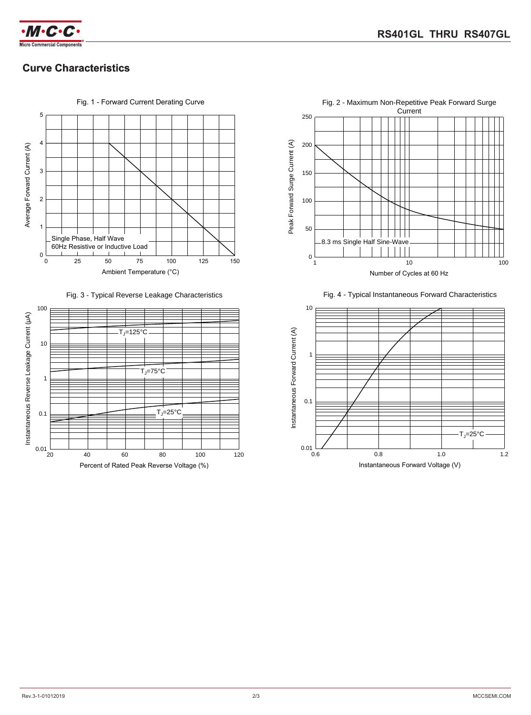

## **Curve Characteristics**



Fig. 3 - Typical Reverse Leakage Characteristics





Fig. 4 - Typical Instantaneous Forward Characteristics

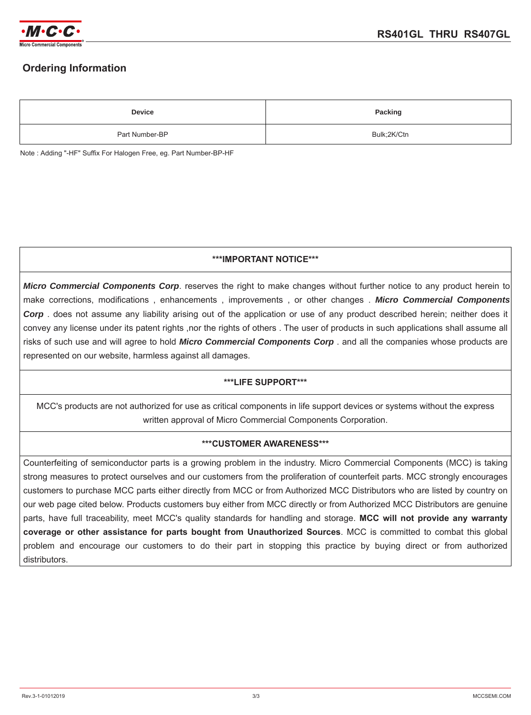

## **Ordering Information**

| <b>Device</b>  | <b>Packing</b> |  |
|----------------|----------------|--|
| Part Number-BP | Bulk;2K/Ctn    |  |

Note : Adding "-HF" Suffix For Halogen Free, eg. Part Number-BP-HF

## **\*\*\*IMPORTANT NOTICE\*\*\***

*Micro Commercial Components Corp*. reserves the right to make changes without further notice to any product herein to make corrections, modifications , enhancements , improvements , or other changes . *Micro Commercial Components Corp* . does not assume any liability arising out of the application or use of any product described herein; neither does it convey any license under its patent rights ,nor the rights of others . The user of products in such applications shall assume all risks of such use and will agree to hold *Micro Commercial Components Corp* . and all the companies whose products are represented on our website, harmless against all damages.

## **\*\*\*LIFE SUPPORT\*\*\***

MCC's products are not authorized for use as critical components in life support devices or systems without the express written approval of Micro Commercial Components Corporation.

## **\*\*\*CUSTOMER AWARENESS\*\*\***

Counterfeiting of semiconductor parts is a growing problem in the industry. Micro Commercial Components (MCC) is taking strong measures to protect ourselves and our customers from the proliferation of counterfeit parts. MCC strongly encourages customers to purchase MCC parts either directly from MCC or from Authorized MCC Distributors who are listed by country on our web page cited below. Products customers buy either from MCC directly or from Authorized MCC Distributors are genuine parts, have full traceability, meet MCC's quality standards for handling and storage. **MCC will not provide any warranty coverage or other assistance for parts bought from Unauthorized Sources**. MCC is committed to combat this global problem and encourage our customers to do their part in stopping this practice by buying direct or from authorized distributors.